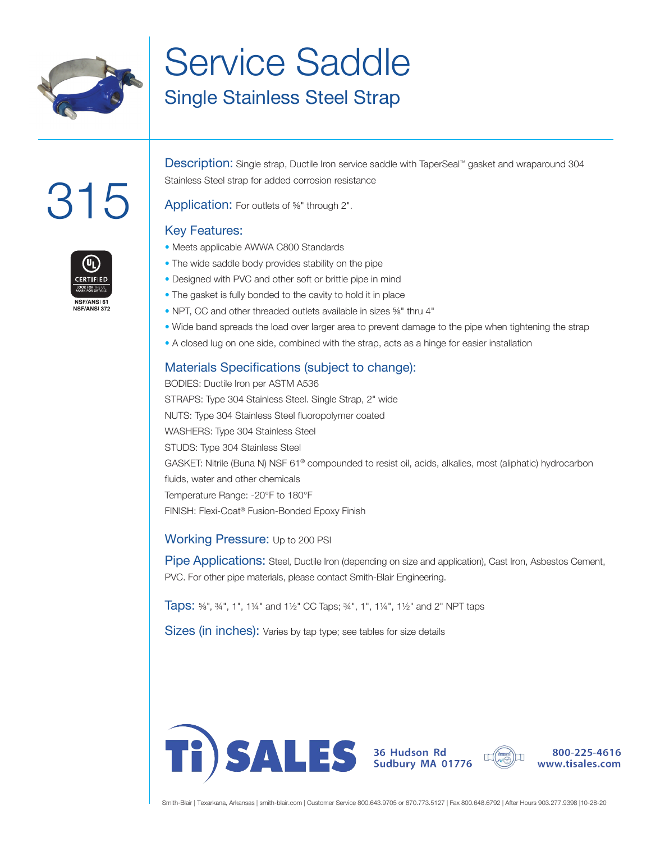

## Service Saddle

### Single Stainless Steel Strap

# 315



Description: Single strap, Ductile Iron service saddle with TaperSeal™ gasket and wraparound 304 Stainless Steel strap for added corrosion resistance

Application: For outlets of <sup>5/8</sup>" through 2".

### Key Features:

- Meets applicable AWWA C800 Standards
- The wide saddle body provides stability on the pipe
- Designed with PVC and other soft or brittle pipe in mind
- The gasket is fully bonded to the cavity to hold it in place
- NPT, CC and other threaded outlets available in sizes ⅝" thru 4"
- Wide band spreads the load over larger area to prevent damage to the pipe when tightening the strap
- A closed lug on one side, combined with the strap, acts as a hinge for easier installation

### Materials Specifications (subject to change):

BODIES: Ductile Iron per ASTM A536 STRAPS: Type 304 Stainless Steel. Single Strap, 2" wide NUTS: Type 304 Stainless Steel fluoropolymer coated WASHERS: Type 304 Stainless Steel STUDS: Type 304 Stainless Steel GASKET: Nitrile (Buna N) NSF 61® compounded to resist oil, acids, alkalies, most (aliphatic) hydrocarbon fluids, water and other chemicals Temperature Range: -20°F to 180°F FINISH: Flexi-Coat® Fusion-Bonded Epoxy Finish

#### Working Pressure: Up to 200 PSI

Pipe Applications: Steel, Ductile Iron (depending on size and application), Cast Iron, Asbestos Cement, PVC. For other pipe materials, please contact Smith-Blair Engineering.

Taps: ⅝", ¾", 1", 1¼" and 1½" CC Taps; ¾", 1", 1¼", 1½" and 2" NPT taps

Sizes (in inches): Varies by tap type; see tables for size details







800-225-4616 www.tisales.com

Smith-Blair | Texarkana, Arkansas | smith-blair.com | Customer Service 800.643.9705 or 870.773.5127 | Fax 800.648.6792 | After Hours 903.277.9398 |10-28-20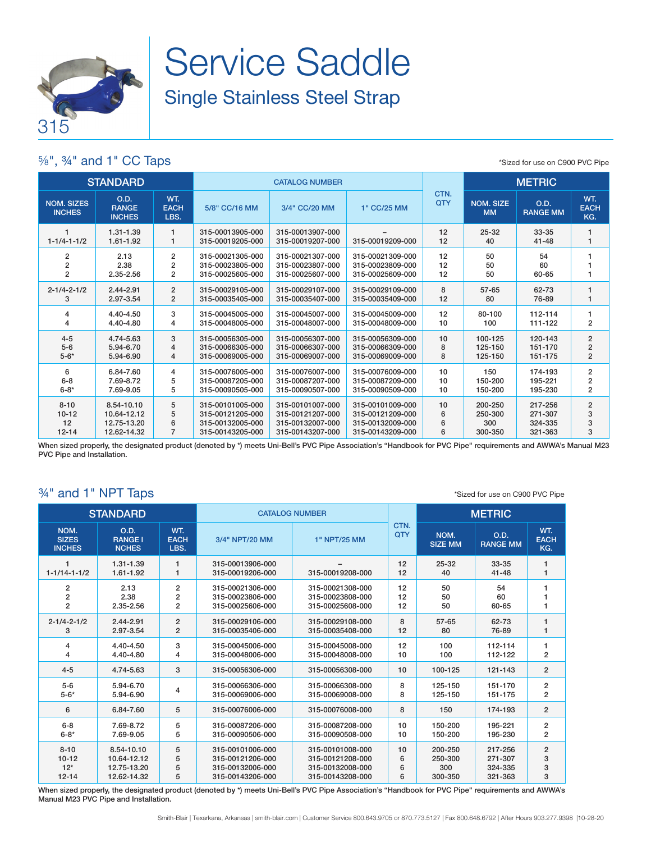

## Service Saddle Single Stainless Steel Strap

### ⅝", ¾" and 1" CC Taps

\*Sized for use on C900 PVC Pipe

| <b>STANDARD</b>                    |                                       |                            | <b>CATALOG NUMBER</b>                |                                      |                  |             | <b>METRIC</b>                 |                         |                           |
|------------------------------------|---------------------------------------|----------------------------|--------------------------------------|--------------------------------------|------------------|-------------|-------------------------------|-------------------------|---------------------------|
| <b>NOM. SIZES</b><br><b>INCHES</b> | O.D.<br><b>RANGE</b><br><b>INCHES</b> | WT.<br><b>EACH</b><br>LBS. | 5/8" CC/16 MM                        | 3/4" CC/20 MM                        | 1" CC/25 MM      | CTN.<br>QTY | <b>NOM. SIZE</b><br><b>MM</b> | O.D.<br><b>RANGE MM</b> | WT.<br><b>EACH</b><br>KG. |
| $1 - 1/4 - 1 - 1/2$                | 1.31-1.39<br>1.61-1.92                | $\mathbf{1}$<br>1          | 315-00013905-000<br>315-00019205-000 | 315-00013907-000<br>315-00019207-000 | 315-00019209-000 | 12<br>12    | $25 - 32$<br>40               | $33 - 35$<br>$41 - 48$  |                           |
| $\overline{2}$                     | 2.13                                  | $\overline{2}$             | 315-00021305-000                     | 315-00021307-000                     | 315-00021309-000 | 12          | 50                            | 54                      |                           |
| 2                                  | 2.38                                  | 2                          | 315-00023805-000                     | 315-00023807-000                     | 315-00023809-000 | 12          | 50                            | 60                      |                           |
| $\overline{2}$                     | 2.35-2.56                             | $\overline{2}$             | 315-00025605-000                     | 315-00025607-000                     | 315-00025609-000 | 12          | 50                            | 60-65                   |                           |
| $2 - 1/4 - 2 - 1/2$                | 2.44-2.91                             | $\overline{2}$             | 315-00029105-000                     | 315-00029107-000                     | 315-00029109-000 | 8           | 57-65                         | 62-73                   |                           |
| 3                                  | 2.97-3.54                             | $\overline{2}$             | 315-00035405-000                     | 315-00035407-000                     | 315-00035409-000 | 12          | 80                            | 76-89                   |                           |
| 4                                  | 4.40-4.50                             | 3                          | 315-00045005-000                     | 315-00045007-000                     | 315-00045009-000 | 12          | 80-100                        | 112-114                 | 1                         |
| 4                                  | 4.40-4.80                             | 4                          | 315-00048005-000                     | 315-00048007-000                     | 315-00048009-000 | 10          | 100                           | 111-122                 | $\overline{2}$            |
| $4 - 5$                            | 4.74-5.63                             | 3                          | 315-00056305-000                     | 315-00056307-000                     | 315-00056309-000 | 10          | 100-125                       | 120-143                 | $\overline{2}$            |
| $5-6$                              | 5.94-6.70                             | $\overline{4}$             | 315-00066305-000                     | 315-00066307-000                     | 315-00066309-000 | 8           | 125-150                       | 151-170                 | $\overline{2}$            |
| $5 - 6*$                           | 5.94-6.90                             | 4                          | 315-00069005-000                     | 315-00069007-000                     | 315-00069009-000 | 8           | 125-150                       | 151-175                 | $\overline{2}$            |
| 6                                  | 6.84-7.60                             | 4                          | 315-00076005-000                     | 315-00076007-000                     | 315-00076009-000 | 10          | 150                           | 174-193                 | $\overline{2}$            |
| $6 - 8$                            | 7.69-8.72                             | 5                          | 315-00087205-000                     | 315-00087207-000                     | 315-00087209-000 | 10          | 150-200                       | 195-221                 | 2                         |
| $6 - 8*$                           | 7.69-9.05                             | 5                          | 315-00090505-000                     | 315-00090507-000                     | 315-00090509-000 | 10          | 150-200                       | 195-230                 | $\overline{2}$            |
| $8 - 10$                           | 8.54-10.10                            | 5                          | 315-00101005-000                     | 315-00101007-000                     | 315-00101009-000 | 10          | 200-250                       | 217-256                 | $\overline{2}$            |
| $10 - 12$                          | 10.64-12.12                           | 5                          | 315-00121205-000                     | 315-00121207-000                     | 315-00121209-000 | 6           | 250-300                       | 271-307                 | 3                         |
| 12                                 | 12.75-13.20                           | 6                          | 315-00132005-000                     | 315-00132007-000                     | 315-00132009-000 | 6           | 300                           | 324-335                 | 3                         |
| $12 - 14$                          | 12.62-14.32                           | $\overline{7}$             | 315-00143205-000                     | 315-00143207-000                     | 315-00143209-000 | 6           | 300-350                       | 321-363                 | 3                         |

When sized properly, the designated product (denoted by \*) meets Uni-Bell's PVC Pipe Association's "Handbook for PVC Pipe" requirements and AWWA's Manual M23 PVC Pipe and Installation.

### ¾" and 1" NPT Taps

\*Sized for use on C900 PVC Pipe

|                                       | <b>STANDARD</b>                        |                            | <b>CATALOG NUMBER</b>                |                  |             | <b>METRIC</b>          |                         |                           |
|---------------------------------------|----------------------------------------|----------------------------|--------------------------------------|------------------|-------------|------------------------|-------------------------|---------------------------|
| NOM.<br><b>SIZES</b><br><b>INCHES</b> | O.D.<br><b>RANGE I</b><br><b>NCHES</b> | WT.<br><b>EACH</b><br>LBS. | 3/4" NPT/20 MM                       | 1" NPT/25 MM     | CTN.<br>QTY | NOM.<br><b>SIZE MM</b> | O.D.<br><b>RANGE MM</b> | WT.<br><b>EACH</b><br>KG. |
| $1 - 1/14 - 1 - 1/2$                  | 1.31-1.39<br>1.61-1.92                 | 1<br>1                     | 315-00013906-000<br>315-00019206-000 | 315-00019208-000 | 12<br>12    | $25 - 32$<br>40        | 33-35<br>$41 - 48$      | 1<br>1                    |
| $\overline{2}$                        | 2.13                                   | $\overline{2}$             | 315-00021306-000                     | 315-00021308-000 | 12          | 50                     | 54                      | 1                         |
| $\mathbf 2$                           | 2.38                                   | 2                          | 315-00023806-000                     | 315-00023808-000 | 12          | 50                     | 60                      | 1                         |
| $\overline{2}$                        | 2.35-2.56                              | 2                          | 315-00025606-000                     | 315-00025608-000 | 12          | 50                     | 60-65                   | 1                         |
| $2 - 1/4 - 2 - 1/2$                   | 2.44-2.91                              | $\overline{2}$             | 315-00029106-000                     | 315-00029108-000 | 8           | $57 - 65$              | 62-73                   | 1                         |
| 3                                     | 2.97-3.54                              | $\overline{2}$             | 315-00035406-000                     | 315-00035408-000 | 12          | 80                     | 76-89                   | 1                         |
| 4                                     | 4.40-4.50                              | 3                          | 315-00045006-000                     | 315-00045008-000 | 12          | 100                    | 112-114                 | 1                         |
| 4                                     | 4.40-4.80                              | 4                          | 315-00048006-000                     | 315-00048008-000 | 10          | 100                    | 112-122                 | $\overline{2}$            |
| $4 - 5$                               | 4.74-5.63                              | 3                          | 315-00056306-000                     | 315-00056308-000 | 10          | 100-125                | 121-143                 | $\overline{2}$            |
| $5-6$                                 | 5.94-6.70                              | 4                          | 315-00066306-000                     | 315-00066308-000 | 8           | 125-150                | 151-170                 | $\overline{\mathbf{c}}$   |
| $5 - 6*$                              | 5.94-6.90                              |                            | 315-00069006-000                     | 315-00069008-000 | 8           | 125-150                | 151-175                 | $\overline{2}$            |
| 6                                     | 6.84-7.60                              | 5                          | 315-00076006-000                     | 315-00076008-000 | 8           | 150                    | 174-193                 | $\overline{2}$            |
| $6 - 8$                               | 7.69-8.72                              | 5                          | 315-00087206-000                     | 315-00087208-000 | 10          | 150-200                | 195-221                 | $\overline{\mathbf{c}}$   |
| $6 - 8*$                              | 7.69-9.05                              | 5                          | 315-00090506-000                     | 315-00090508-000 | 10          | 150-200                | 195-230                 | $\overline{\mathbf{c}}$   |
| $8 - 10$                              | 8.54-10.10                             | 5                          | 315-00101006-000                     | 315-00101008-000 | 10          | 200-250                | 217-256                 | $\overline{2}$            |
| $10 - 12$                             | 10.64-12.12                            | 5                          | 315-00121206-000                     | 315-00121208-000 | 6           | 250-300                | 271-307                 | 3                         |
| $12*$                                 | 12.75-13.20                            | 5                          | 315-00132006-000                     | 315-00132008-000 | 6           | 300                    | 324-335                 | 3                         |
| $12 - 14$                             | 12.62-14.32                            | 5                          | 315-00143206-000                     | 315-00143208-000 | 6           | 300-350                | 321-363                 | 3                         |

When sized properly, the designated product (denoted by \*) meets Uni-Bell's PVC Pipe Association's "Handbook for PVC Pipe" requirements and AWWA's Manual M23 PVC Pipe and Installation.